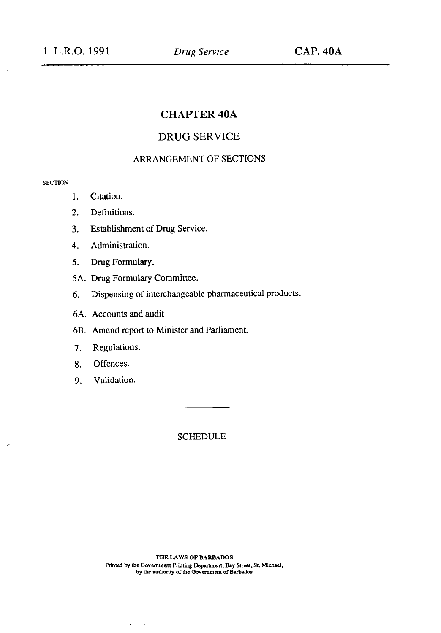$\cdot$ 

### CHAPTER 40A

## DRUG SERVICE

### ARRANGEMENT OF SECTIONS

**SECTION** 

- 1. Citation.
- 2. Definitions.
- 3. Establishment of Drug Service.
- 4. Administration.
- 5. Drug Formulary.
- 5A. Drug Formulary Committee.
- 6. Dispensing of interchangeable pharmaceutical products.
- 6A. Accounts and audit
- 6B. Amend report to Minister and Parliament.
- 7. Regulations.
- 8. Offences.
- 9. Validation.

 $\bar{\pmb{\psi}}$  $\sim$  **SCHEDULE** 

**THE LAWS OF BARBADOS**  Printed by the Government Printing Department, Bay Street, St. Michael, by the authority of the Government of Barbados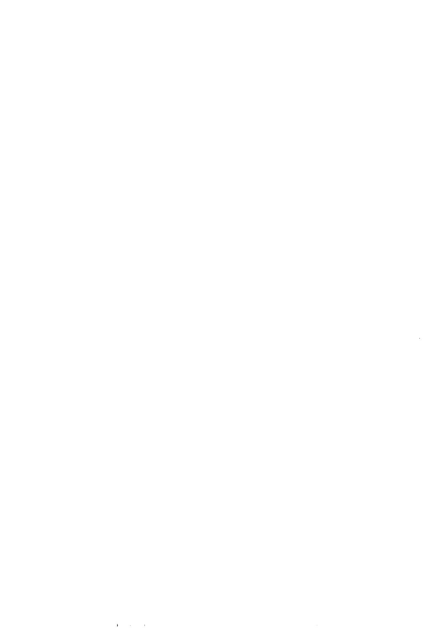$\mathcal{A}^{\mathrm{c}}$  .

 $\mathbf{E}_{\text{max}}$  and  $\mathbf{E}_{\text{max}}$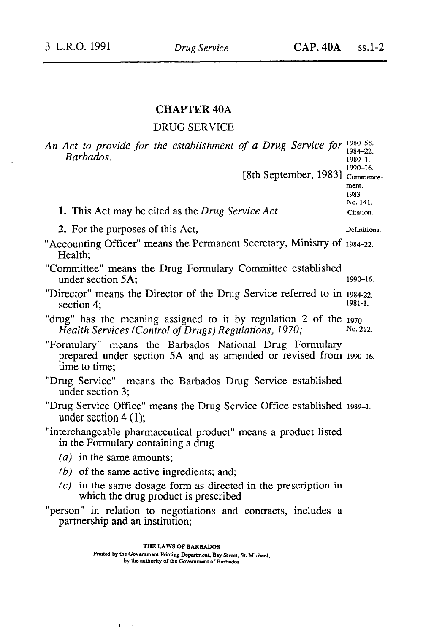$\alpha$  ,  $\beta$  ,  $\alpha$ 

# CHAPTER 40A

# DRUG SERVICE

| An Act to provide for the establishment of a Drug Service for $\frac{1980-58}{1084-22}$<br>Barbados.                                              | 1984-22.<br>$1989 - 1.$               |
|---------------------------------------------------------------------------------------------------------------------------------------------------|---------------------------------------|
| [8th September, 1983] Commence-                                                                                                                   | 1990-16.<br>ment.<br>1983<br>No. 141. |
| <b>1.</b> This Act may be cited as the Drug Service Act.                                                                                          | Citation.                             |
| 2. For the purposes of this Act,                                                                                                                  | Definitions.                          |
| "Accounting Officer" means the Permanent Secretary, Ministry of 1984–22.<br>Health;                                                               |                                       |
| "Committee" means the Drug Formulary Committee established<br>under section 5A;                                                                   | 1990-16.                              |
| "Director" means the Director of the Drug Service referred to in 1984-22.<br>section 4:                                                           | 1981-1.                               |
| "drug" has the meaning assigned to it by regulation 2 of the 1970<br>Health Services (Control of Drugs) Regulations, 1970;                        | No. 212.                              |
| "Formulary" means the Barbados National Drug Formulary<br>prepared under section 5A and as amended or revised from 1990-16.<br>time to time;      |                                       |
| "Drug Service" means the Barbados Drug Service established<br>under section 3;                                                                    |                                       |
| "Drug Service Office" means the Drug Service Office established 1989-1.<br>under section $4(1)$ ;                                                 |                                       |
| "interchangeable pharmaceutical product" means a product listed<br>in the Formulary containing a drug                                             |                                       |
| $(a)$ in the same amounts;                                                                                                                        |                                       |
| $(b)$ of the same active ingredients; and;                                                                                                        |                                       |
| in the same dosage form as directed in the prescription in<br>(c)<br>which the drug product is prescribed                                         |                                       |
| "person" in relation to negotiations and contracts, includes a<br>partnership and an institution;                                                 |                                       |
| THE LAWS OF BARBADOS<br>Printed by the Government Printing Department, Bay Street, St. Michael,<br>by the authority of the Government of Barbados |                                       |

 $\mathbf{y} = \mathbf{y} \in \mathbb{R}^{d \times d}$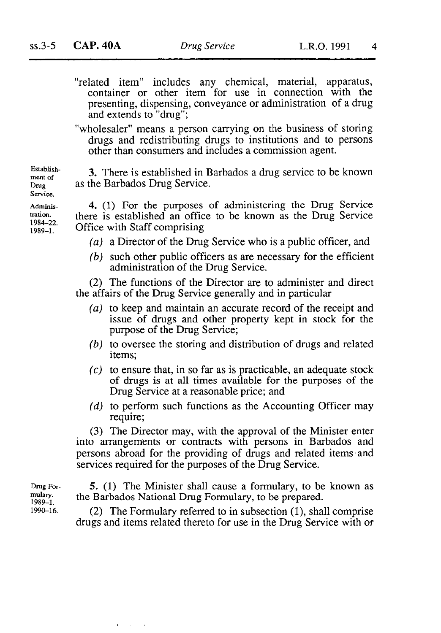- "related item" includes any chemical, material, apparatus, container or other item for use in connection with the presenting, dispensing, conveyance or administration of a drug and extends to "drug";
- "wholesaler" means a person carrying on the business of storing drugs and redistributing drugs to institutions and to persons other than consumers and includes a commission agent.

3. There is established in Barbados a drug service to be known as the Barbados Drug Service.

4. (1) For the purposes of administering the Drug Service there is established an office to be known as the Drug Service Office with Staff comprising

- *(a)* a Director of the Drug Service who is a public officer, and
- *(b)* such other public officers as are necessary for the efficient administration of the Drug Service.

(2) The functions of the Director are to administer and direct the affairs of the Drug Service generally and in particular

- (a) to keep and maintain an accurate record of the receipt and issue of drugs and other property kept in stock for the purpose of the Drug Service;
- *(b)* to oversee the storing and distribution of drugs and related items;
- $(c)$  to ensure that, in so far as is practicable, an adequate stock of drugs is at all times available for the purposes of the Drug Service at a reasonable price; and
- (*d*) to perform such functions as the Accounting Officer may require;

(3) The Director may, with the approval of the Minister enter into arrangements or contracts with persons in Barbados and persons abroad for the providing of drugs and related items .and services required for the purposes of the Drug Service.

**Drug Formulary. 1989-I. 1990-16.** 

 $\mathbf{r}$ 

 $\lambda$ 

5. (1) The Minister shall cause a formulary, to be known as the Barbados National Drug Formulary, to be prepared.

(2) The Formulary referred to in subsection (l), shall comprise drugs and items related thereto for use in the Drug Service with or

**Service. Administration. 1984-22. 1989-1.** 

**Establishment of Drug**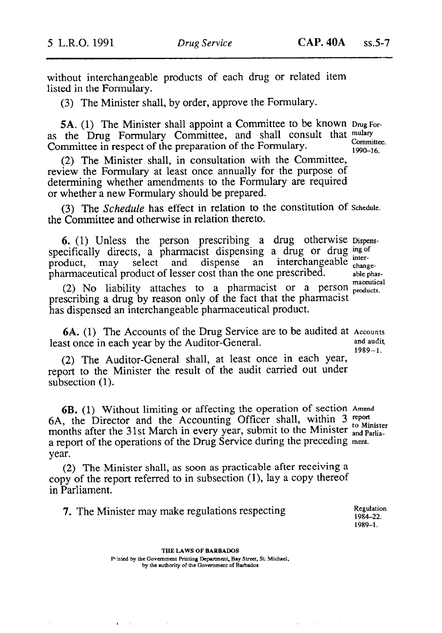without interchangeable products of each drug or related item listed in the Formulary.

(3) The Minister shall, by order, approve the Formulary.

5A. (1) The Minister shall appoint a Committee to be known Drug Foras the Drug Formulary Committee, and shall consult that mulary Committee. Committee in respect of the preparation of the Formulary. **Committend** 1990–16.

(2) The Minister shall, in consultation with the Committee, review the Formulary at least once annually for the purpose of determining whether amendments to the Formulary are required or whether a new Formulary should be prepared.

(3) The *Schedule* has effect in relation to the constitution of schedule. the Committee and otherwise in relation thereto.

6. (1) Unless the person prescribing a drug otherwise **mspens**specifically directs, a pharmacist dispensing a drug or drug ing of product, may select and dispense an interchangeable changeselect and dispense an pharmaceutical product of lesser cost than the one prescribed. **able phar-**

**macxwical** 

(2) No liability attaches to a pharmacist or a person  $_{\text{products}}^{ \text{mavelength}}$ prescribing a drug by reason only of the fact that the pharmacist has dispensed an interchangeable pharmaceutical product.

6A. (1) The Accounts of the Drug Service are to be audited at Accounts of the Auditor-General and audited at **Accounts** least once in each year by the Auditor-General.

(2) The Auditor-General shall, at least once in each year, report to the Minister the result of the audit carried out under subsection (1).

6B. (1) Without limiting or affecting the operation of section **Amend**  6A, the Director and the Accounting Officer shall, within 3 report months after the 31st March in every year, submit to the Minister <sup>to Minister</sup> and Parliaa report of the operations of the Drug Service during the preceding **ment.**  year.

(2) The Minister shall, as soon as practicable after receiving a copy of the report referred to in subsection (l), lay a copy thereof in Parliament.

7. The Minister may make regulations respecting **Regulation** 

 $\mathcal{A}$  and  $\mathcal{A}$  are  $\mathcal{A}$  . In the  $\mathcal{A}$ 

 $\pmb{\ast}$ 

**1984-22. 1989-1.** 

 $\mathcal{L}_{\mathbf{Q}}$  , and the  $\mathcal{L}_{\mathbf{Q}}$ 

**THE LAWS OF BARBADOS**  Printed by the Government Printing Department, Bay Street, St. Michael, **by the anhority of the Government of Barbados** 

**1989-1.**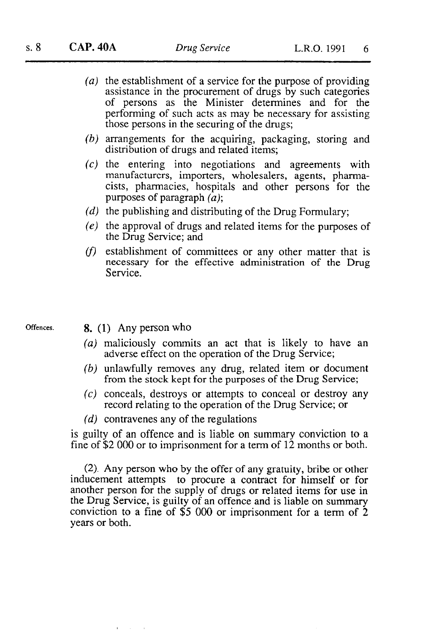- (a) the establishment of a service for the purpose of providing assistance in the procurement of drugs by such categories of persons as the Minister determines and for the performing of such acts as may be necessary for assisting those persons in the securing of the drugs;
- (b) arrangements for the acquiring, packaging, storing and distribution of drugs and related items;
- $(c)$  the entering into negotiations and agreements with manufacturers, importers, wholesalers, agents, pharmacists, pharmacies, hospitals and other persons for the purposes of paragraph  $(a)$ ;
- $(d)$  the publishing and distributing of the Drug Formulary
- (e) the approval of drugs and related items for the purposes of the Drug Service; and
- $(f)$ establishment of committees or any other matter that is necessary for the effective administration of the Drug Service.

Offences.

8. (1) Any person who

- (a) maliciously commits an act that is likely to have an adverse effect on the operation of the Drug Service;
- *(b)* unlawfully removes any drug, related item or document from the stock kept for the purposes of the Drug Service;
- (c) conceals, destroys or attempts to conceal or destroy any record relating to the operation of the Drug Service; or
- *(d)* contravenes any of the regulations

is guilty of an offence and is liable on summary conviction to a fine of \$2 000 or to imprisonment for a term of 12 months or both.

(2). Any person who by the offer of any gratuity, bribe or other inducement attempts to procure a contract for himself or for another person for the supply of drugs or related items for use in the Drug Service, is guilty of an offence and is liable on summary conviction to a fine of \$5 000 or imprisonment for a term of 2 years or both.